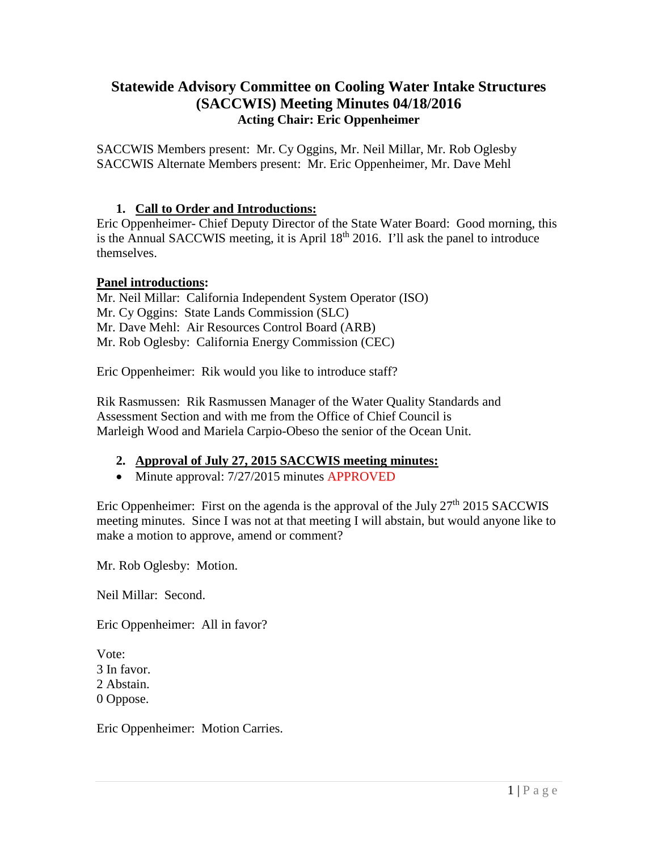# **Statewide Advisory Committee on Cooling Water Intake Structures (SACCWIS) Meeting Minutes 04/18/2016 Acting Chair: Eric Oppenheimer**

SACCWIS Members present: Mr. Cy Oggins, Mr. Neil Millar, Mr. Rob Oglesby SACCWIS Alternate Members present: Mr. Eric Oppenheimer, Mr. Dave Mehl

# **1. Call to Order and Introductions:**

Eric Oppenheimer- Chief Deputy Director of the State Water Board: Good morning, this is the Annual SACCWIS meeting, it is April 18<sup>th</sup> 2016. I'll ask the panel to introduce themselves.

### **Panel introductions:**

Mr. Neil Millar: California Independent System Operator (ISO) Mr. Cy Oggins: State Lands Commission (SLC) Mr. Dave Mehl: Air Resources Control Board (ARB) Mr. Rob Oglesby: California Energy Commission (CEC)

Eric Oppenheimer: Rik would you like to introduce staff?

Rik Rasmussen: Rik Rasmussen Manager of the Water Quality Standards and Assessment Section and with me from the Office of Chief Council is Marleigh Wood and Mariela Carpio-Obeso the senior of the Ocean Unit.

### **2. Approval of July 27, 2015 SACCWIS meeting minutes:**

• Minute approval: 7/27/2015 minutes APPROVED

Eric Oppenheimer: First on the agenda is the approval of the July  $27<sup>th</sup> 2015$  SACCWIS meeting minutes. Since I was not at that meeting I will abstain, but would anyone like to make a motion to approve, amend or comment?

Mr. Rob Oglesby: Motion.

Neil Millar: Second.

Eric Oppenheimer: All in favor?

Vote: 3 In favor. 2 Abstain. 0 Oppose.

Eric Oppenheimer: Motion Carries.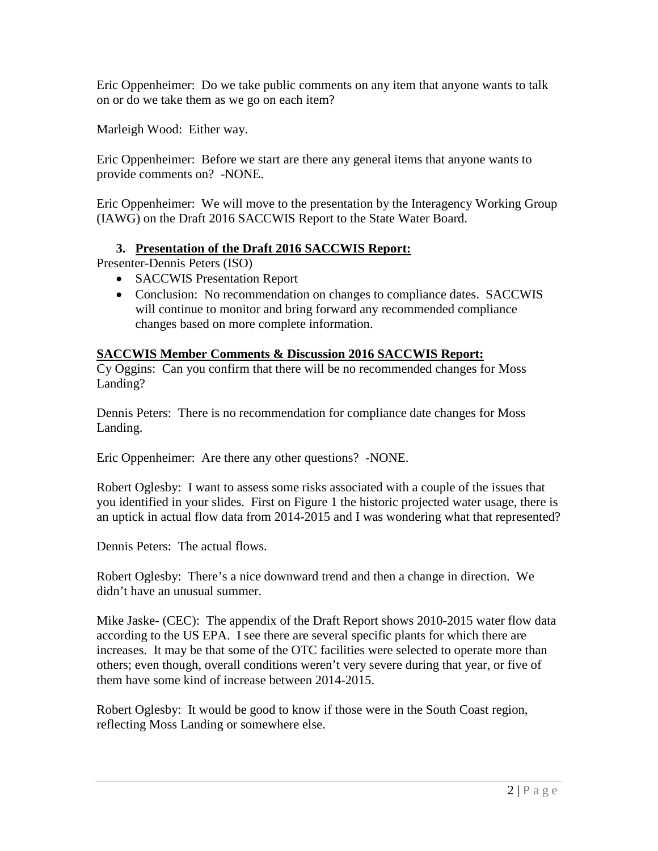Eric Oppenheimer: Do we take public comments on any item that anyone wants to talk on or do we take them as we go on each item?

Marleigh Wood: Either way.

Eric Oppenheimer: Before we start are there any general items that anyone wants to provide comments on? -NONE.

Eric Oppenheimer: We will move to the presentation by the Interagency Working Group (IAWG) on the Draft 2016 SACCWIS Report to the State Water Board.

# **3. Presentation of the Draft 2016 SACCWIS Report:**

Presenter-Dennis Peters (ISO)

- SACCWIS Presentation Report
- Conclusion: No recommendation on changes to compliance dates. SACCWIS will continue to monitor and bring forward any recommended compliance changes based on more complete information.

### **SACCWIS Member Comments & Discussion 2016 SACCWIS Report:**

Cy Oggins: Can you confirm that there will be no recommended changes for Moss Landing?

Dennis Peters: There is no recommendation for compliance date changes for Moss Landing.

Eric Oppenheimer: Are there any other questions? -NONE.

Robert Oglesby: I want to assess some risks associated with a couple of the issues that you identified in your slides. First on Figure 1 the historic projected water usage, there is an uptick in actual flow data from 2014-2015 and I was wondering what that represented?

Dennis Peters: The actual flows.

Robert Oglesby: There's a nice downward trend and then a change in direction. We didn't have an unusual summer.

Mike Jaske- (CEC): The appendix of the Draft Report shows 2010-2015 water flow data according to the US EPA. I see there are several specific plants for which there are increases. It may be that some of the OTC facilities were selected to operate more than others; even though, overall conditions weren't very severe during that year, or five of them have some kind of increase between 2014-2015.

Robert Oglesby: It would be good to know if those were in the South Coast region, reflecting Moss Landing or somewhere else.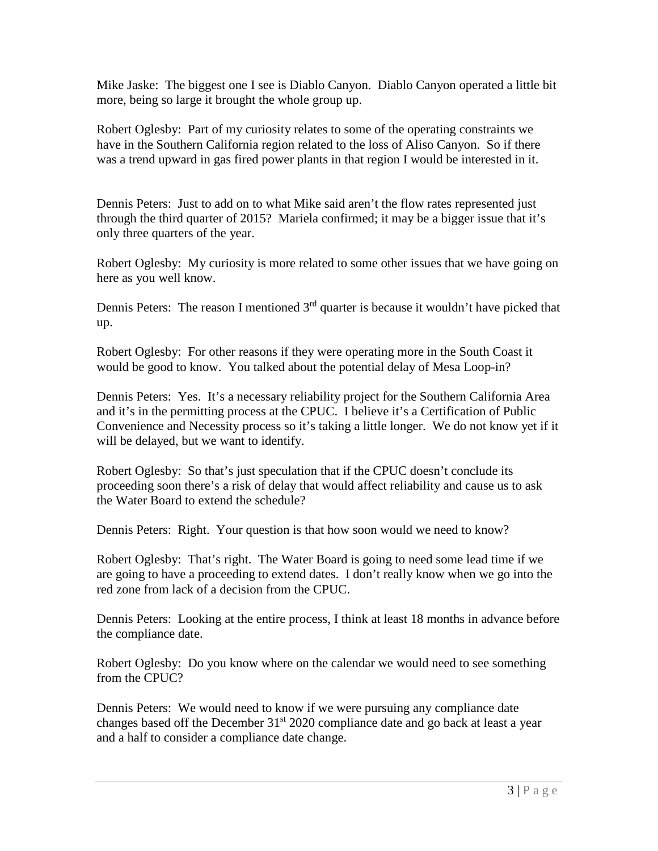Mike Jaske: The biggest one I see is Diablo Canyon. Diablo Canyon operated a little bit more, being so large it brought the whole group up.

Robert Oglesby: Part of my curiosity relates to some of the operating constraints we have in the Southern California region related to the loss of Aliso Canyon. So if there was a trend upward in gas fired power plants in that region I would be interested in it.

Dennis Peters: Just to add on to what Mike said aren't the flow rates represented just through the third quarter of 2015? Mariela confirmed; it may be a bigger issue that it's only three quarters of the year.

Robert Oglesby: My curiosity is more related to some other issues that we have going on here as you well know.

Dennis Peters: The reason I mentioned  $3<sup>rd</sup>$  quarter is because it wouldn't have picked that up.

Robert Oglesby: For other reasons if they were operating more in the South Coast it would be good to know. You talked about the potential delay of Mesa Loop-in?

Dennis Peters: Yes. It's a necessary reliability project for the Southern California Area and it's in the permitting process at the CPUC. I believe it's a Certification of Public Convenience and Necessity process so it's taking a little longer. We do not know yet if it will be delayed, but we want to identify.

Robert Oglesby: So that's just speculation that if the CPUC doesn't conclude its proceeding soon there's a risk of delay that would affect reliability and cause us to ask the Water Board to extend the schedule?

Dennis Peters: Right. Your question is that how soon would we need to know?

Robert Oglesby: That's right. The Water Board is going to need some lead time if we are going to have a proceeding to extend dates. I don't really know when we go into the red zone from lack of a decision from the CPUC.

Dennis Peters: Looking at the entire process, I think at least 18 months in advance before the compliance date.

Robert Oglesby: Do you know where on the calendar we would need to see something from the CPUC?

Dennis Peters: We would need to know if we were pursuing any compliance date changes based off the December  $31<sup>st</sup> 2020$  compliance date and go back at least a year and a half to consider a compliance date change.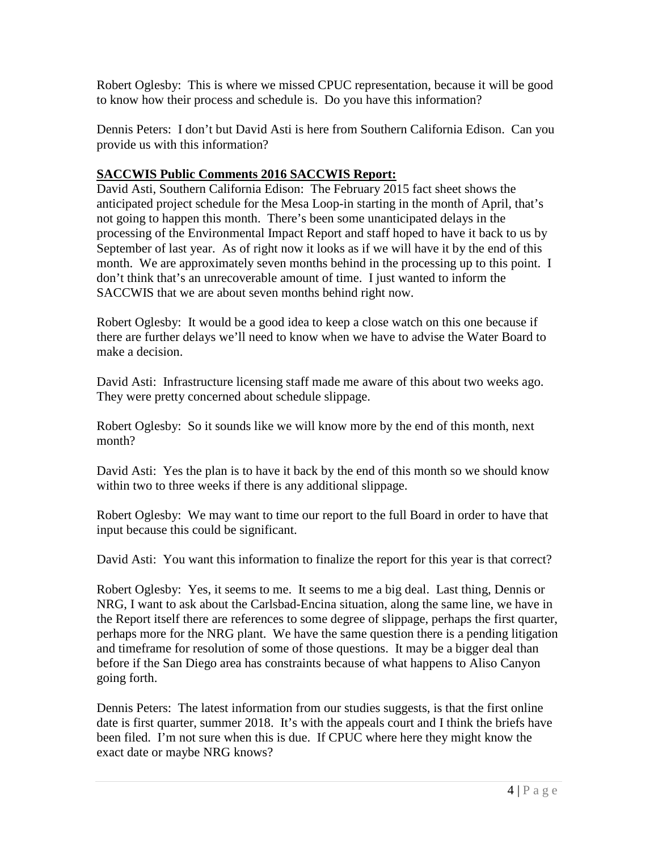Robert Oglesby: This is where we missed CPUC representation, because it will be good to know how their process and schedule is. Do you have this information?

Dennis Peters: I don't but David Asti is here from Southern California Edison. Can you provide us with this information?

# **SACCWIS Public Comments 2016 SACCWIS Report:**

David Asti, Southern California Edison: The February 2015 fact sheet shows the anticipated project schedule for the Mesa Loop-in starting in the month of April, that's not going to happen this month. There's been some unanticipated delays in the processing of the Environmental Impact Report and staff hoped to have it back to us by September of last year. As of right now it looks as if we will have it by the end of this month. We are approximately seven months behind in the processing up to this point. I don't think that's an unrecoverable amount of time. I just wanted to inform the SACCWIS that we are about seven months behind right now.

Robert Oglesby: It would be a good idea to keep a close watch on this one because if there are further delays we'll need to know when we have to advise the Water Board to make a decision.

David Asti: Infrastructure licensing staff made me aware of this about two weeks ago. They were pretty concerned about schedule slippage.

Robert Oglesby: So it sounds like we will know more by the end of this month, next month?

David Asti: Yes the plan is to have it back by the end of this month so we should know within two to three weeks if there is any additional slippage.

Robert Oglesby: We may want to time our report to the full Board in order to have that input because this could be significant.

David Asti: You want this information to finalize the report for this year is that correct?

Robert Oglesby: Yes, it seems to me. It seems to me a big deal. Last thing, Dennis or NRG, I want to ask about the Carlsbad-Encina situation, along the same line, we have in the Report itself there are references to some degree of slippage, perhaps the first quarter, perhaps more for the NRG plant. We have the same question there is a pending litigation and timeframe for resolution of some of those questions. It may be a bigger deal than before if the San Diego area has constraints because of what happens to Aliso Canyon going forth.

Dennis Peters: The latest information from our studies suggests, is that the first online date is first quarter, summer 2018. It's with the appeals court and I think the briefs have been filed. I'm not sure when this is due. If CPUC where here they might know the exact date or maybe NRG knows?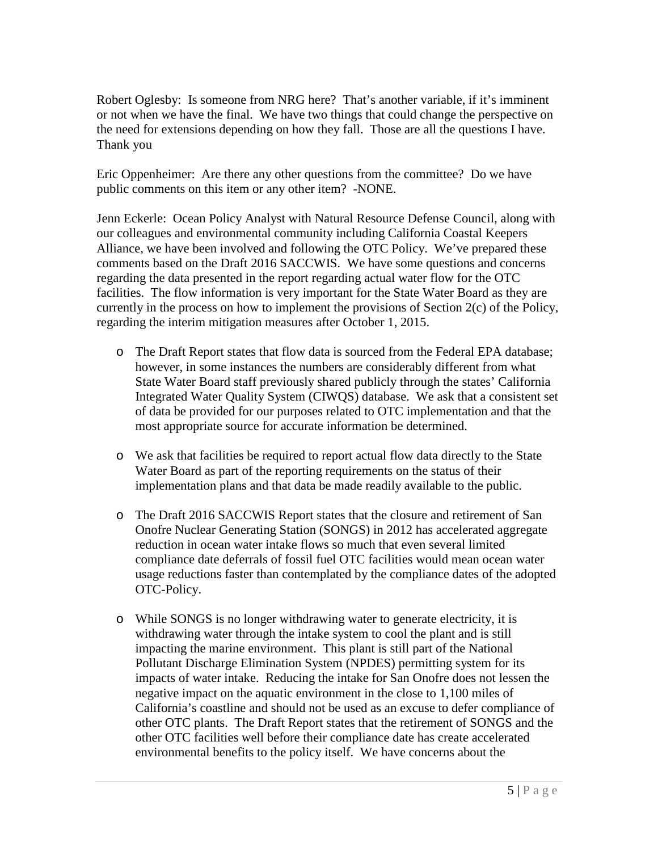Robert Oglesby: Is someone from NRG here? That's another variable, if it's imminent or not when we have the final. We have two things that could change the perspective on the need for extensions depending on how they fall. Those are all the questions I have. Thank you

Eric Oppenheimer: Are there any other questions from the committee? Do we have public comments on this item or any other item? -NONE.

Jenn Eckerle: Ocean Policy Analyst with Natural Resource Defense Council, along with our colleagues and environmental community including California Coastal Keepers Alliance, we have been involved and following the OTC Policy. We've prepared these comments based on the Draft 2016 SACCWIS. We have some questions and concerns regarding the data presented in the report regarding actual water flow for the OTC facilities. The flow information is very important for the State Water Board as they are currently in the process on how to implement the provisions of Section 2(c) of the Policy, regarding the interim mitigation measures after October 1, 2015.

- o The Draft Report states that flow data is sourced from the Federal EPA database; however, in some instances the numbers are considerably different from what State Water Board staff previously shared publicly through the states' California Integrated Water Quality System (CIWQS) database. We ask that a consistent set of data be provided for our purposes related to OTC implementation and that the most appropriate source for accurate information be determined.
- o We ask that facilities be required to report actual flow data directly to the State Water Board as part of the reporting requirements on the status of their implementation plans and that data be made readily available to the public.
- o The Draft 2016 SACCWIS Report states that the closure and retirement of San Onofre Nuclear Generating Station (SONGS) in 2012 has accelerated aggregate reduction in ocean water intake flows so much that even several limited compliance date deferrals of fossil fuel OTC facilities would mean ocean water usage reductions faster than contemplated by the compliance dates of the adopted OTC-Policy.
- o While SONGS is no longer withdrawing water to generate electricity, it is withdrawing water through the intake system to cool the plant and is still impacting the marine environment. This plant is still part of the National Pollutant Discharge Elimination System (NPDES) permitting system for its impacts of water intake. Reducing the intake for San Onofre does not lessen the negative impact on the aquatic environment in the close to 1,100 miles of California's coastline and should not be used as an excuse to defer compliance of other OTC plants. The Draft Report states that the retirement of SONGS and the other OTC facilities well before their compliance date has create accelerated environmental benefits to the policy itself. We have concerns about the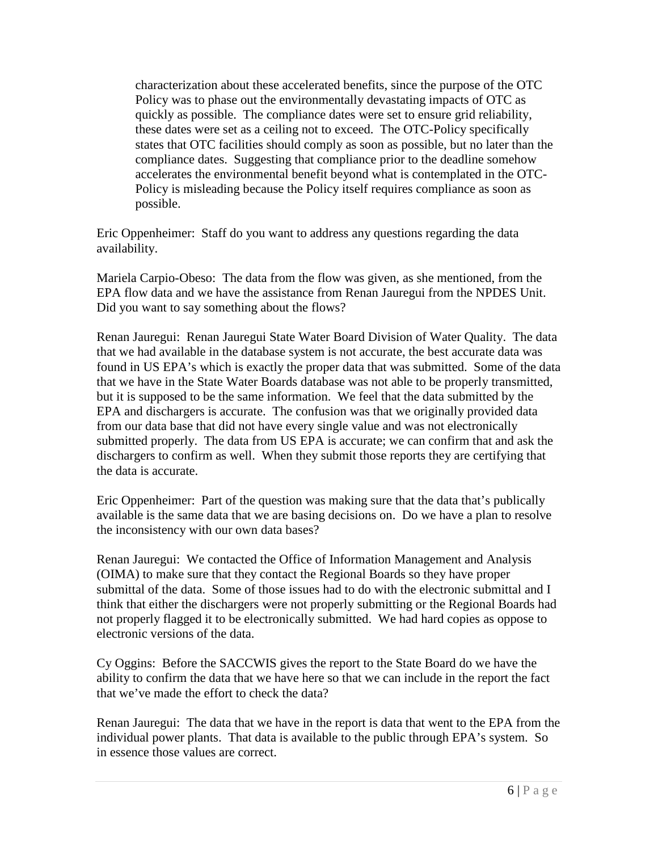characterization about these accelerated benefits, since the purpose of the OTC Policy was to phase out the environmentally devastating impacts of OTC as quickly as possible. The compliance dates were set to ensure grid reliability, these dates were set as a ceiling not to exceed. The OTC-Policy specifically states that OTC facilities should comply as soon as possible, but no later than the compliance dates. Suggesting that compliance prior to the deadline somehow accelerates the environmental benefit beyond what is contemplated in the OTC-Policy is misleading because the Policy itself requires compliance as soon as possible.

Eric Oppenheimer: Staff do you want to address any questions regarding the data availability.

Mariela Carpio-Obeso: The data from the flow was given, as she mentioned, from the EPA flow data and we have the assistance from Renan Jauregui from the NPDES Unit. Did you want to say something about the flows?

Renan Jauregui: Renan Jauregui State Water Board Division of Water Quality. The data that we had available in the database system is not accurate, the best accurate data was found in US EPA's which is exactly the proper data that was submitted. Some of the data that we have in the State Water Boards database was not able to be properly transmitted, but it is supposed to be the same information. We feel that the data submitted by the EPA and dischargers is accurate. The confusion was that we originally provided data from our data base that did not have every single value and was not electronically submitted properly. The data from US EPA is accurate; we can confirm that and ask the dischargers to confirm as well. When they submit those reports they are certifying that the data is accurate.

Eric Oppenheimer: Part of the question was making sure that the data that's publically available is the same data that we are basing decisions on. Do we have a plan to resolve the inconsistency with our own data bases?

Renan Jauregui: We contacted the Office of Information Management and Analysis (OIMA) to make sure that they contact the Regional Boards so they have proper submittal of the data. Some of those issues had to do with the electronic submittal and I think that either the dischargers were not properly submitting or the Regional Boards had not properly flagged it to be electronically submitted. We had hard copies as oppose to electronic versions of the data.

Cy Oggins: Before the SACCWIS gives the report to the State Board do we have the ability to confirm the data that we have here so that we can include in the report the fact that we've made the effort to check the data?

Renan Jauregui: The data that we have in the report is data that went to the EPA from the individual power plants. That data is available to the public through EPA's system. So in essence those values are correct.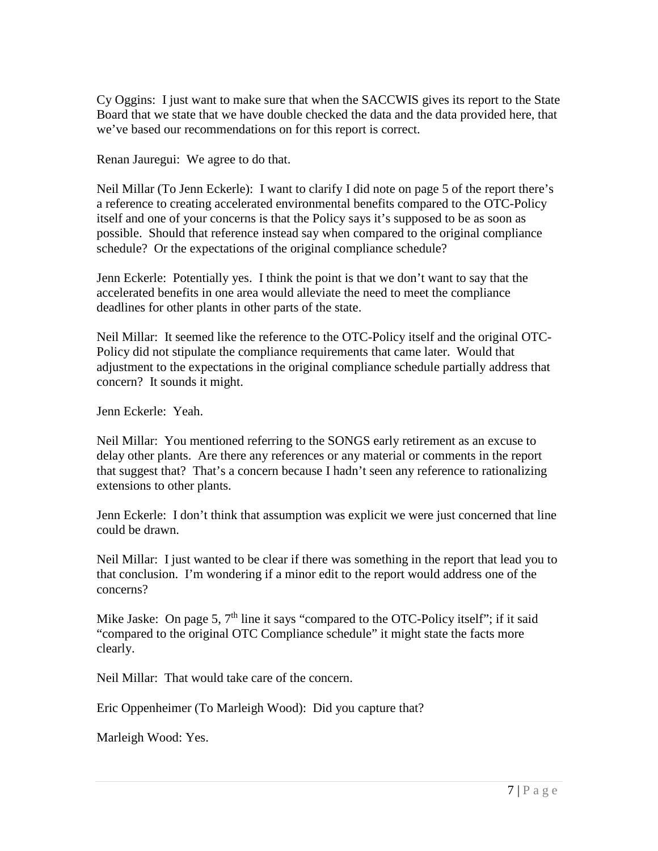Cy Oggins: I just want to make sure that when the SACCWIS gives its report to the State Board that we state that we have double checked the data and the data provided here, that we've based our recommendations on for this report is correct.

Renan Jauregui: We agree to do that.

Neil Millar (To Jenn Eckerle): I want to clarify I did note on page 5 of the report there's a reference to creating accelerated environmental benefits compared to the OTC-Policy itself and one of your concerns is that the Policy says it's supposed to be as soon as possible. Should that reference instead say when compared to the original compliance schedule? Or the expectations of the original compliance schedule?

Jenn Eckerle: Potentially yes. I think the point is that we don't want to say that the accelerated benefits in one area would alleviate the need to meet the compliance deadlines for other plants in other parts of the state.

Neil Millar: It seemed like the reference to the OTC-Policy itself and the original OTC-Policy did not stipulate the compliance requirements that came later. Would that adjustment to the expectations in the original compliance schedule partially address that concern? It sounds it might.

Jenn Eckerle: Yeah.

Neil Millar: You mentioned referring to the SONGS early retirement as an excuse to delay other plants. Are there any references or any material or comments in the report that suggest that? That's a concern because I hadn't seen any reference to rationalizing extensions to other plants.

Jenn Eckerle: I don't think that assumption was explicit we were just concerned that line could be drawn.

Neil Millar: I just wanted to be clear if there was something in the report that lead you to that conclusion. I'm wondering if a minor edit to the report would address one of the concerns?

Mike Jaske: On page 5,  $7<sup>th</sup>$  line it says "compared to the OTC-Policy itself"; if it said "compared to the original OTC Compliance schedule" it might state the facts more clearly.

Neil Millar: That would take care of the concern.

Eric Oppenheimer (To Marleigh Wood): Did you capture that?

Marleigh Wood: Yes.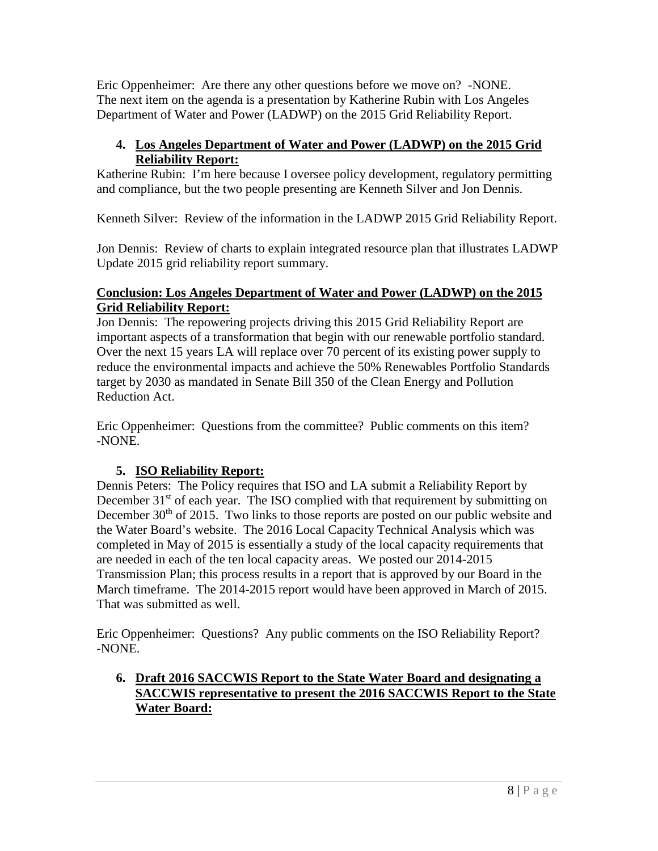Eric Oppenheimer: Are there any other questions before we move on? -NONE. The next item on the agenda is a presentation by Katherine Rubin with Los Angeles Department of Water and Power (LADWP) on the 2015 Grid Reliability Report.

# **4. Los Angeles Department of Water and Power (LADWP) on the 2015 Grid Reliability Report:**

Katherine Rubin: I'm here because I oversee policy development, regulatory permitting and compliance, but the two people presenting are Kenneth Silver and Jon Dennis.

Kenneth Silver: Review of the information in the LADWP 2015 Grid Reliability Report.

Jon Dennis: Review of charts to explain integrated resource plan that illustrates LADWP Update 2015 grid reliability report summary.

# **Conclusion: Los Angeles Department of Water and Power (LADWP) on the 2015 Grid Reliability Report:**

Jon Dennis: The repowering projects driving this 2015 Grid Reliability Report are important aspects of a transformation that begin with our renewable portfolio standard. Over the next 15 years LA will replace over 70 percent of its existing power supply to reduce the environmental impacts and achieve the 50% Renewables Portfolio Standards target by 2030 as mandated in Senate Bill 350 of the Clean Energy and Pollution Reduction Act.

Eric Oppenheimer: Questions from the committee? Public comments on this item? -NONE.

# **5. ISO Reliability Report:**

Dennis Peters: The Policy requires that ISO and LA submit a Reliability Report by December  $31<sup>st</sup>$  of each year. The ISO complied with that requirement by submitting on December  $30<sup>th</sup>$  of 2015. Two links to those reports are posted on our public website and the Water Board's website. The 2016 Local Capacity Technical Analysis which was completed in May of 2015 is essentially a study of the local capacity requirements that are needed in each of the ten local capacity areas. We posted our 2014-2015 Transmission Plan; this process results in a report that is approved by our Board in the March timeframe. The 2014-2015 report would have been approved in March of 2015. That was submitted as well.

Eric Oppenheimer: Questions? Any public comments on the ISO Reliability Report? -NONE.

# **6. Draft 2016 SACCWIS Report to the State Water Board and designating a SACCWIS representative to present the 2016 SACCWIS Report to the State Water Board:**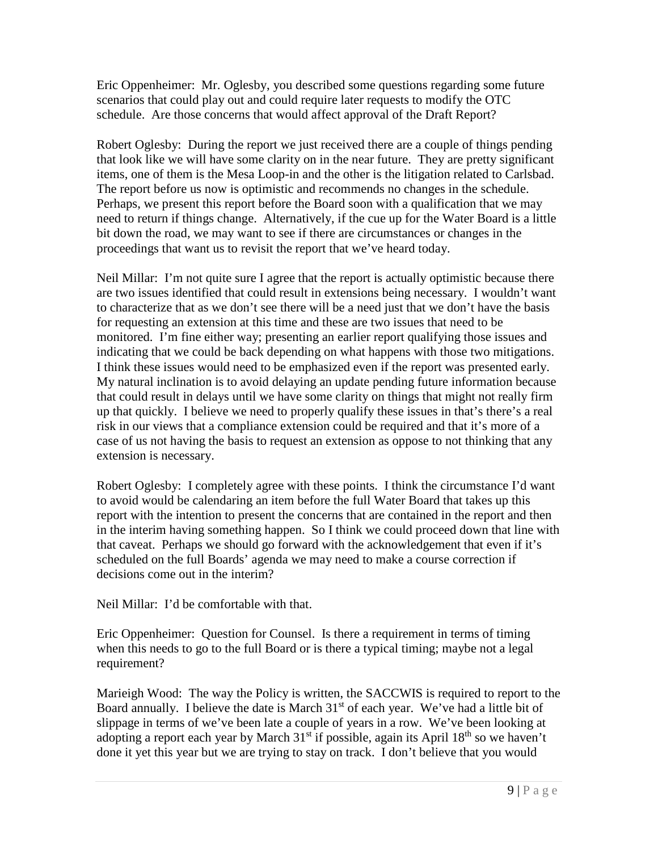Eric Oppenheimer: Mr. Oglesby, you described some questions regarding some future scenarios that could play out and could require later requests to modify the OTC schedule. Are those concerns that would affect approval of the Draft Report?

Robert Oglesby: During the report we just received there are a couple of things pending that look like we will have some clarity on in the near future. They are pretty significant items, one of them is the Mesa Loop-in and the other is the litigation related to Carlsbad. The report before us now is optimistic and recommends no changes in the schedule. Perhaps, we present this report before the Board soon with a qualification that we may need to return if things change. Alternatively, if the cue up for the Water Board is a little bit down the road, we may want to see if there are circumstances or changes in the proceedings that want us to revisit the report that we've heard today.

Neil Millar: I'm not quite sure I agree that the report is actually optimistic because there are two issues identified that could result in extensions being necessary. I wouldn't want to characterize that as we don't see there will be a need just that we don't have the basis for requesting an extension at this time and these are two issues that need to be monitored. I'm fine either way; presenting an earlier report qualifying those issues and indicating that we could be back depending on what happens with those two mitigations. I think these issues would need to be emphasized even if the report was presented early. My natural inclination is to avoid delaying an update pending future information because that could result in delays until we have some clarity on things that might not really firm up that quickly. I believe we need to properly qualify these issues in that's there's a real risk in our views that a compliance extension could be required and that it's more of a case of us not having the basis to request an extension as oppose to not thinking that any extension is necessary.

Robert Oglesby: I completely agree with these points. I think the circumstance I'd want to avoid would be calendaring an item before the full Water Board that takes up this report with the intention to present the concerns that are contained in the report and then in the interim having something happen. So I think we could proceed down that line with that caveat. Perhaps we should go forward with the acknowledgement that even if it's scheduled on the full Boards' agenda we may need to make a course correction if decisions come out in the interim?

Neil Millar: I'd be comfortable with that.

Eric Oppenheimer: Question for Counsel. Is there a requirement in terms of timing when this needs to go to the full Board or is there a typical timing; maybe not a legal requirement?

Marieigh Wood: The way the Policy is written, the SACCWIS is required to report to the Board annually. I believe the date is March  $31<sup>st</sup>$  of each year. We've had a little bit of slippage in terms of we've been late a couple of years in a row. We've been looking at adopting a report each year by March 31<sup>st</sup> if possible, again its April 18<sup>th</sup> so we haven't done it yet this year but we are trying to stay on track. I don't believe that you would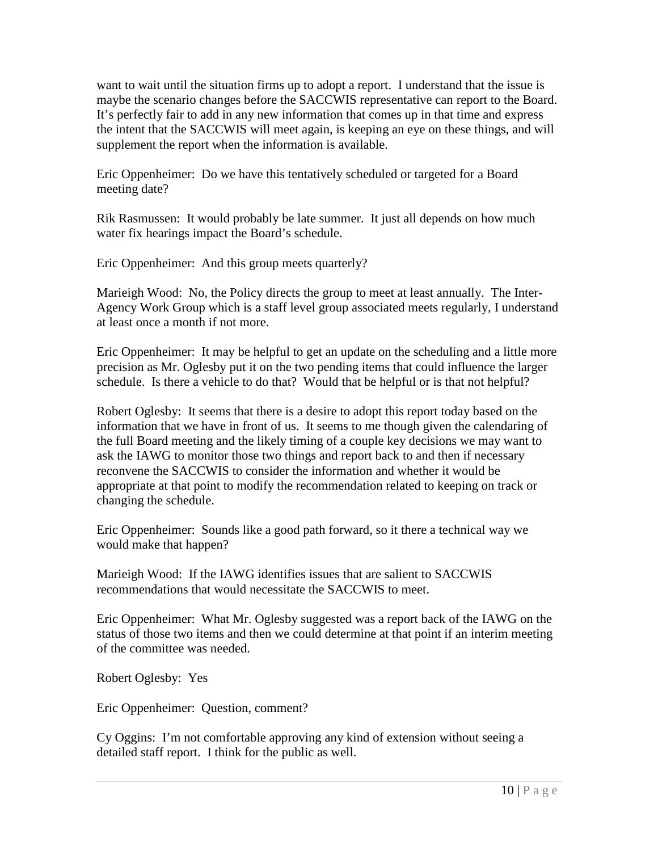want to wait until the situation firms up to adopt a report. I understand that the issue is maybe the scenario changes before the SACCWIS representative can report to the Board. It's perfectly fair to add in any new information that comes up in that time and express the intent that the SACCWIS will meet again, is keeping an eye on these things, and will supplement the report when the information is available.

Eric Oppenheimer: Do we have this tentatively scheduled or targeted for a Board meeting date?

Rik Rasmussen: It would probably be late summer. It just all depends on how much water fix hearings impact the Board's schedule.

Eric Oppenheimer: And this group meets quarterly?

Marieigh Wood: No, the Policy directs the group to meet at least annually. The Inter-Agency Work Group which is a staff level group associated meets regularly, I understand at least once a month if not more.

Eric Oppenheimer: It may be helpful to get an update on the scheduling and a little more precision as Mr. Oglesby put it on the two pending items that could influence the larger schedule. Is there a vehicle to do that? Would that be helpful or is that not helpful?

Robert Oglesby: It seems that there is a desire to adopt this report today based on the information that we have in front of us. It seems to me though given the calendaring of the full Board meeting and the likely timing of a couple key decisions we may want to ask the IAWG to monitor those two things and report back to and then if necessary reconvene the SACCWIS to consider the information and whether it would be appropriate at that point to modify the recommendation related to keeping on track or changing the schedule.

Eric Oppenheimer: Sounds like a good path forward, so it there a technical way we would make that happen?

Marieigh Wood: If the IAWG identifies issues that are salient to SACCWIS recommendations that would necessitate the SACCWIS to meet.

Eric Oppenheimer: What Mr. Oglesby suggested was a report back of the IAWG on the status of those two items and then we could determine at that point if an interim meeting of the committee was needed.

Robert Oglesby: Yes

Eric Oppenheimer: Question, comment?

Cy Oggins: I'm not comfortable approving any kind of extension without seeing a detailed staff report. I think for the public as well.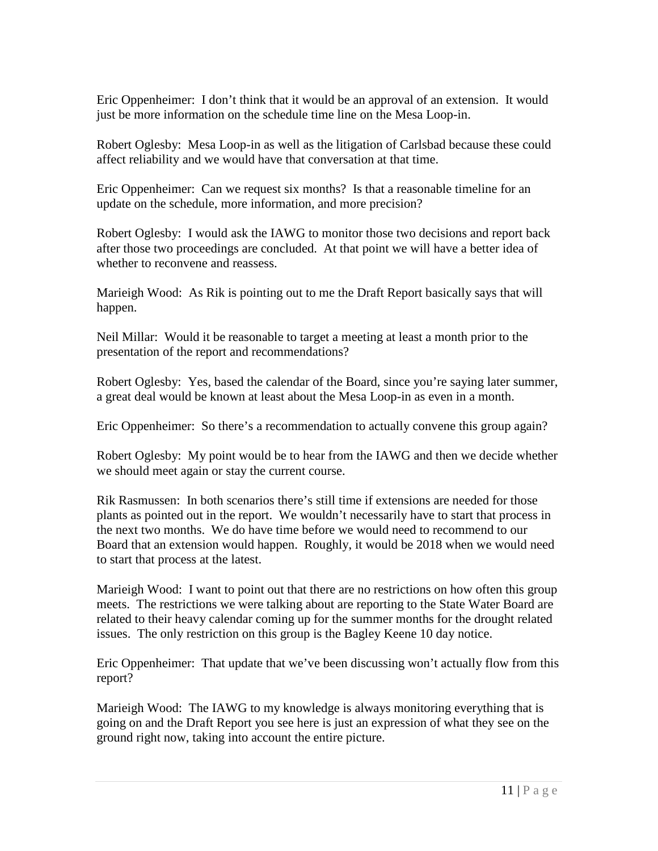Eric Oppenheimer: I don't think that it would be an approval of an extension. It would just be more information on the schedule time line on the Mesa Loop-in.

Robert Oglesby: Mesa Loop-in as well as the litigation of Carlsbad because these could affect reliability and we would have that conversation at that time.

Eric Oppenheimer: Can we request six months? Is that a reasonable timeline for an update on the schedule, more information, and more precision?

Robert Oglesby: I would ask the IAWG to monitor those two decisions and report back after those two proceedings are concluded. At that point we will have a better idea of whether to reconvene and reassess.

Marieigh Wood: As Rik is pointing out to me the Draft Report basically says that will happen.

Neil Millar: Would it be reasonable to target a meeting at least a month prior to the presentation of the report and recommendations?

Robert Oglesby: Yes, based the calendar of the Board, since you're saying later summer, a great deal would be known at least about the Mesa Loop-in as even in a month.

Eric Oppenheimer: So there's a recommendation to actually convene this group again?

Robert Oglesby: My point would be to hear from the IAWG and then we decide whether we should meet again or stay the current course.

Rik Rasmussen: In both scenarios there's still time if extensions are needed for those plants as pointed out in the report. We wouldn't necessarily have to start that process in the next two months. We do have time before we would need to recommend to our Board that an extension would happen. Roughly, it would be 2018 when we would need to start that process at the latest.

Marieigh Wood: I want to point out that there are no restrictions on how often this group meets. The restrictions we were talking about are reporting to the State Water Board are related to their heavy calendar coming up for the summer months for the drought related issues. The only restriction on this group is the Bagley Keene 10 day notice.

Eric Oppenheimer: That update that we've been discussing won't actually flow from this report?

Marieigh Wood: The IAWG to my knowledge is always monitoring everything that is going on and the Draft Report you see here is just an expression of what they see on the ground right now, taking into account the entire picture.